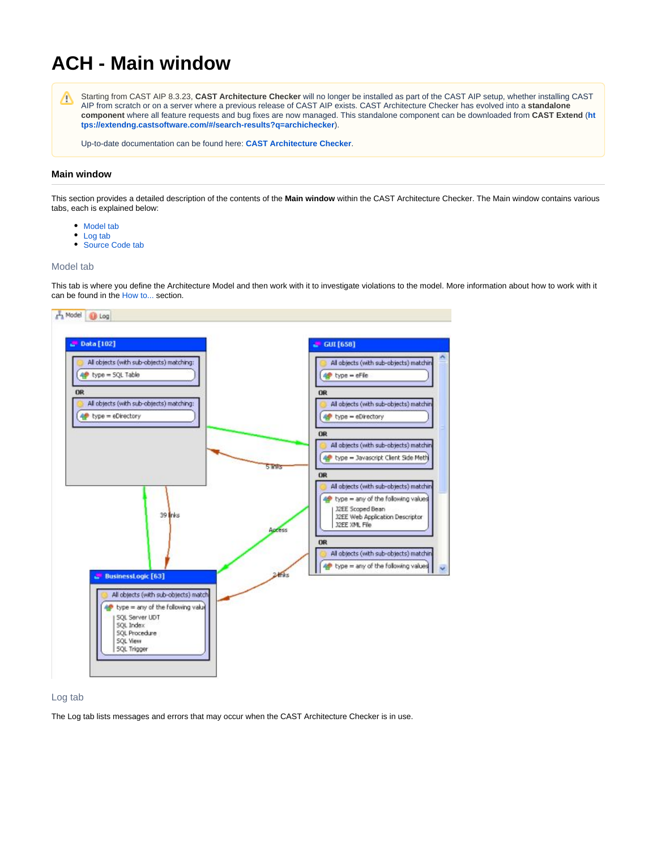# **ACH - Main window**

Starting from CAST AIP 8.3.23, **CAST Architecture Checker** will no longer be installed as part of the CAST AIP setup, whether installing CAST Λ AIP from scratch or on a server where a previous release of CAST AIP exists. CAST Architecture Checker has evolved into a **standalone component** where all feature requests and bug fixes are now managed. This standalone component can be downloaded from **CAST Extend** (**[ht](https://extendng.castsoftware.com/#/search-results?q=archichecker) [tps://extendng.castsoftware.com/#/search-results?q=archichecker](https://extendng.castsoftware.com/#/search-results?q=archichecker)**).

Up-to-date documentation can be found here: **[CAST Architecture Checker](https://doc.castsoftware.com/display/DOCCOM/CAST+Architecture+Checker)**.

## **Main window**

This section provides a detailed description of the contents of the **Main window** within the CAST Architecture Checker. The Main window contains various tabs, each is explained below:

- Model tab
- Log tab
- Source Code tab

#### Model tab

This tab is where you define the Architecture Model and then work with it to investigate violations to the model. More information about how to work with it can be found in the [How to...](https://doc.castsoftware.com/pages/viewpage.action?pageId=264220179) section.



## Log tab

The Log tab lists messages and errors that may occur when the CAST Architecture Checker is in use.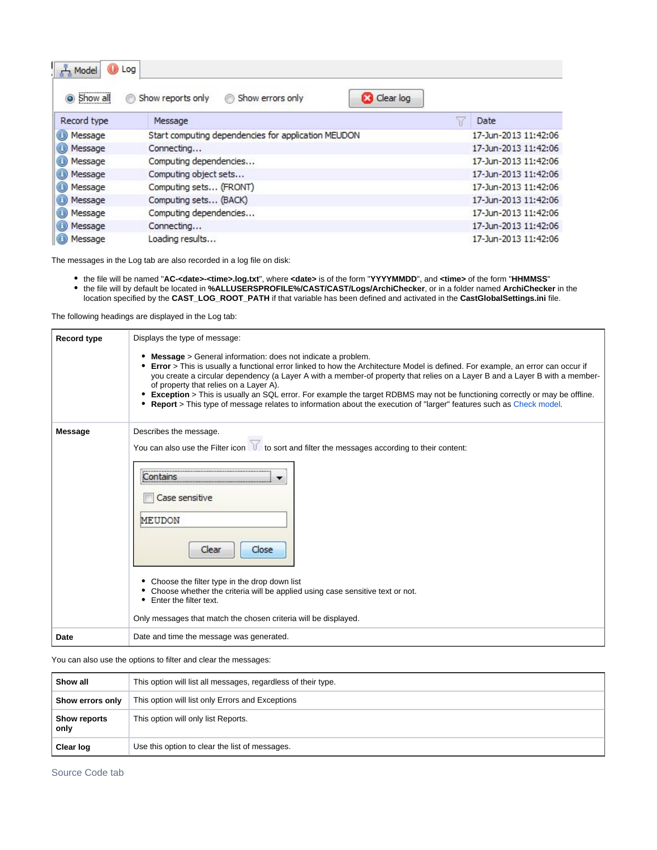| Model<br>Show all<br>$\bullet$ | $\bigcup$ Log<br><b>Clear log</b><br>Show errors only<br>Show reports only<br>⊚<br>⊛ |                      |
|--------------------------------|--------------------------------------------------------------------------------------|----------------------|
| Record type                    | Message                                                                              | Date                 |
| Message<br>⊕                   | Start computing dependencies for application MEUDON                                  | 17-Jun-2013 11:42:06 |
| Message<br>Œ)                  | Connecting                                                                           | 17-Jun-2013 11:42:06 |
| Message<br>⊕                   | Computing dependencies                                                               | 17-Jun-2013 11:42:06 |
| Message<br>(B)                 | Computing object sets                                                                | 17-Jun-2013 11:42:06 |
| Message<br>$_{\rm (f)}$        | Computing sets (FRONT)                                                               | 17-Jun-2013 11:42:06 |
| Message<br>$_{\rm (I)}$        | Computing sets (BACK)                                                                | 17-Jun-2013 11:42:06 |
| Message<br>$_{\rm (L)}$        | Computing dependencies                                                               | 17-Jun-2013 11:42:06 |
| Message                        | Connecting                                                                           | 17-Jun-2013 11:42:06 |
| Message                        | Loading results                                                                      | 17-Jun-2013 11:42:06 |

The messages in the Log tab are also recorded in a log file on disk:

the file will be named "**AC-<date>-<time>.log.txt**", where **<date>** is of the form "**YYYYMMDD**", and **<time>** of the form "**HHMMSS**" the file will by default be located in **%ALLUSERSPROFILE%/CAST/CAST/Logs/ArchiChecker**, or in a folder named **ArchiChecker** in the location specified by the **CAST\_LOG\_ROOT\_PATH** if that variable has been defined and activated in the **CastGlobalSettings.ini** file.

The following headings are displayed in the Log tab:

| <b>Record type</b> | Displays the type of message:                                                                                                                                                                                                                                                                                                                                                                                                                                                                                                                                                                                                                |  |  |
|--------------------|----------------------------------------------------------------------------------------------------------------------------------------------------------------------------------------------------------------------------------------------------------------------------------------------------------------------------------------------------------------------------------------------------------------------------------------------------------------------------------------------------------------------------------------------------------------------------------------------------------------------------------------------|--|--|
|                    | <b>Message</b> > General information: does not indicate a problem.<br><b>Error</b> > This is usually a functional error linked to how the Architecture Model is defined. For example, an error can occur if<br>you create a circular dependency (a Layer A with a member-of property that relies on a Layer B and a Layer B with a member-<br>of property that relies on a Layer A).<br>• Exception > This is usually an SQL error. For example the target RDBMS may not be functioning correctly or may be offline.<br>• Report > This type of message relates to information about the execution of "larger" features such as Check model. |  |  |
| <b>Message</b>     | Describes the message.<br>You can also use the Filter icon $\mathcal{M}$ to sort and filter the messages according to their content:<br>Contains<br>Case sensitive<br>MEUDON<br>Close<br>Clear<br>• Choose the filter type in the drop down list<br>• Choose whether the criteria will be applied using case sensitive text or not.<br>Enter the filter text.<br>Only messages that match the chosen criteria will be displayed.                                                                                                                                                                                                             |  |  |
| Date               | Date and time the message was generated.                                                                                                                                                                                                                                                                                                                                                                                                                                                                                                                                                                                                     |  |  |

You can also use the options to filter and clear the messages:

| Show all             | This option will list all messages, regardless of their type. |  |
|----------------------|---------------------------------------------------------------|--|
| Show errors only     | This option will list only Errors and Exceptions              |  |
| Show reports<br>only | This option will only list Reports.                           |  |
| Clear log            | Use this option to clear the list of messages.                |  |